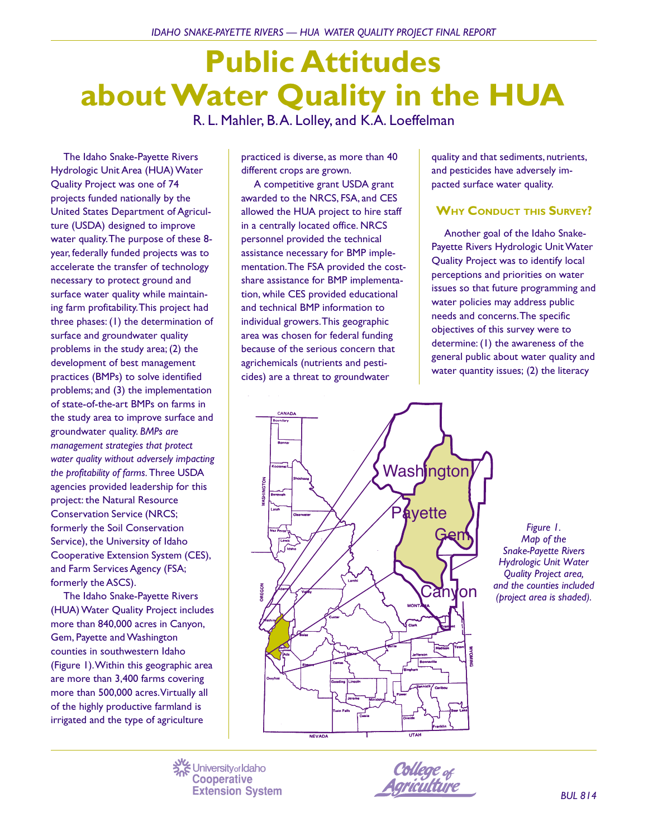# **Public Attitudes about Water Quality in the HUA** R. L. Mahler, B. A. Lolley, and K.A. Loeffelman

The Idaho Snake-Payette Rivers Hydrologic Unit Area (HUA) Water Quality Project was one of 74 projects funded nationally by the United States Department of Agriculture (USDA) designed to improve water quality. The purpose of these 8 year, federally funded projects was to accelerate the transfer of technology necessary to protect ground and surface water quality while maintaining farm profitability. This project had three phases: (1) the determination of surface and groundwater quality problems in the study area; (2) the development of best management practices (BMPs) to solve identified problems; and (3) the implementation of state-of-the-art BMPs on farms in the study area to improve surface and groundwater quality. *BMPs are management strategies that protect water quality without adversely impacting the profitability of farms.* Three USDA agencies provided leadership for this project: the Natural Resource Conservation Service (NRCS; formerly the Soil Conservation Service), the University of Idaho Cooperative Extension System (CES), and Farm Services Agency (FSA; formerly the ASCS).

The Idaho Snake-Payette Rivers (HUA) Water Quality Project includes more than 840,000 acres in Canyon, Gem, Payette and Washington counties in southwestern Idaho (Figure 1). Within this geographic area are more than 3,400 farms covering more than 500,000 acres. Virtually all of the highly productive farmland is irrigated and the type of agriculture

practiced is diverse, as more than 40 different crops are grown.

A competitive grant USDA grant awarded to the NRCS, FSA, and CES allowed the HUA project to hire staff in a centrally located office. NRCS personnel provided the technical assistance necessary for BMP implementation. The FSA provided the costshare assistance for BMP implementation, while CES provided educational and technical BMP information to individual growers. This geographic area was chosen for federal funding because of the serious concern that agrichemicals (nutrients and pesticides) are a threat to groundwater

quality and that sediments, nutrients, and pesticides have adversely impacted surface water quality.

# **WHY CONDUCT THIS SURVEY?**

Another goal of the Idaho Snake-Payette Rivers Hydrologic Unit Water Quality Project was to identify local perceptions and priorities on water issues so that future programming and water policies may address public needs and concerns. The specific objectives of this survey were to determine: (1) the awareness of the general public about water quality and water quantity issues; (2) the literacy



*Figure 1. Map of the Snake-Payette Rivers Hydrologic Unit Water Quality Project area, and the counties included (project area is shaded).*

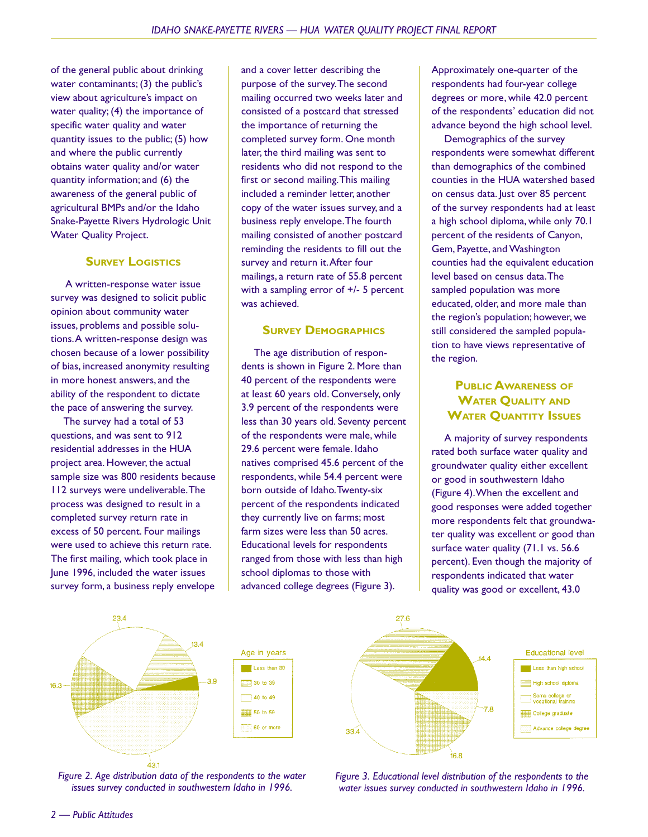of the general public about drinking water contaminants; (3) the public's view about agriculture's impact on water quality; (4) the importance of specific water quality and water quantity issues to the public; (5) how and where the public currently obtains water quality and/or water quantity information; and (6) the awareness of the general public of agricultural BMPs and/or the Idaho Snake-Payette Rivers Hydrologic Unit Water Quality Project.

#### **SURVEY LOGISTICS**

 A written-response water issue survey was designed to solicit public opinion about community water issues, problems and possible solutions. A written-response design was chosen because of a lower possibility of bias, increased anonymity resulting in more honest answers, and the ability of the respondent to dictate the pace of answering the survey.

The survey had a total of 53 questions, and was sent to 912 residential addresses in the HUA project area. However, the actual sample size was 800 residents because 112 surveys were undeliverable. The process was designed to result in a completed survey return rate in excess of 50 percent. Four mailings were used to achieve this return rate. The first mailing, which took place in June 1996, included the water issues survey form, a business reply envelope

and a cover letter describing the purpose of the survey. The second mailing occurred two weeks later and consisted of a postcard that stressed the importance of returning the completed survey form. One month later, the third mailing was sent to residents who did not respond to the first or second mailing. This mailing included a reminder letter, another copy of the water issues survey, and a business reply envelope. The fourth mailing consisted of another postcard reminding the residents to fill out the survey and return it. After four mailings, a return rate of 55.8 percent with a sampling error of +/- 5 percent was achieved.

#### **SURVEY DEMOGRAPHICS**

The age distribution of respondents is shown in Figure 2. More than 40 percent of the respondents were at least 60 years old. Conversely, only 3.9 percent of the respondents were less than 30 years old. Seventy percent of the respondents were male, while 29.6 percent were female. Idaho natives comprised 45.6 percent of the respondents, while 54.4 percent were born outside of Idaho. Twenty-six percent of the respondents indicated they currently live on farms; most farm sizes were less than 50 acres. Educational levels for respondents ranged from those with less than high school diplomas to those with advanced college degrees (Figure 3).

Approximately one-quarter of the respondents had four-year college degrees or more, while 42.0 percent of the respondents' education did not advance beyond the high school level.

Demographics of the survey respondents were somewhat different than demographics of the combined counties in the HUA watershed based on census data. Just over 85 percent of the survey respondents had at least a high school diploma, while only 70.1 percent of the residents of Canyon, Gem, Payette, and Washington counties had the equivalent education level based on census data. The sampled population was more educated, older, and more male than the region's population; however, we still considered the sampled population to have views representative of the region.

### **PUBLIC AWARENESS OF WATER QUALITY AND WATER QUANTITY ISSUES**

A majority of survey respondents rated both surface water quality and groundwater quality either excellent or good in southwestern Idaho (Figure 4). When the excellent and good responses were added together more respondents felt that groundwater quality was excellent or good than surface water quality (71.1 vs. 56.6) percent). Even though the majority of respondents indicated that water quality was good or excellent, 43.0



*Figure 2. Age distribution data of the respondents to the water issues survey conducted in southwestern Idaho in 1996.*

*Figure 3. Educational level distribution of the respondents to the water issues survey conducted in southwestern Idaho in 1996.*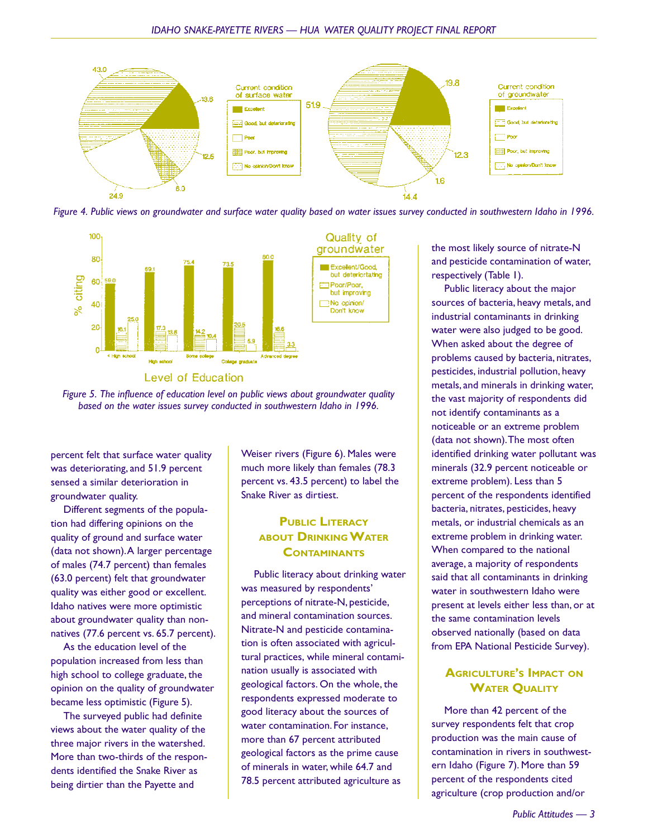

*Figure 4. Public views on groundwater and surface water quality based on water issues survey conducted in southwestern Idaho in 1996.*





*Figure 5. The influence of education level on public views about groundwater quality based on the water issues survey conducted in southwestern Idaho in 1996.*

percent felt that surface water quality was deteriorating, and 51.9 percent sensed a similar deterioration in groundwater quality.

Different segments of the population had differing opinions on the quality of ground and surface water (data not shown). A larger percentage of males (74.7 percent) than females (63.0 percent) felt that groundwater quality was either good or excellent. Idaho natives were more optimistic about groundwater quality than nonnatives (77.6 percent vs. 65.7 percent).

As the education level of the population increased from less than high school to college graduate, the opinion on the quality of groundwater became less optimistic (Figure 5).

The surveyed public had definite views about the water quality of the three major rivers in the watershed. More than two-thirds of the respondents identified the Snake River as being dirtier than the Payette and

Weiser rivers (Figure 6). Males were much more likely than females (78.3 percent vs. 43.5 percent) to label the Snake River as dirtiest.

## **PUBLIC LITERACY ABOUT DRINKING WATER CONTAMINANTS**

Public literacy about drinking water was measured by respondents' perceptions of nitrate-N, pesticide, and mineral contamination sources. Nitrate-N and pesticide contamination is often associated with agricultural practices, while mineral contamination usually is associated with geological factors. On the whole, the respondents expressed moderate to good literacy about the sources of water contamination. For instance, more than 67 percent attributed geological factors as the prime cause of minerals in water, while 64.7 and 78.5 percent attributed agriculture as

the most likely source of nitrate-N and pesticide contamination of water, respectively (Table 1).

Public literacy about the major sources of bacteria, heavy metals, and industrial contaminants in drinking water were also judged to be good. When asked about the degree of problems caused by bacteria, nitrates, pesticides, industrial pollution, heavy metals, and minerals in drinking water, the vast majority of respondents did not identify contaminants as a noticeable or an extreme problem (data not shown). The most often identified drinking water pollutant was minerals (32.9 percent noticeable or extreme problem). Less than 5 percent of the respondents identified bacteria, nitrates, pesticides, heavy metals, or industrial chemicals as an extreme problem in drinking water. When compared to the national average, a majority of respondents said that all contaminants in drinking water in southwestern Idaho were present at levels either less than, or at the same contamination levels observed nationally (based on data from EPA National Pesticide Survey).

## **AGRICULTURE'S IMPACT ON WATER QUALITY**

More than 42 percent of the survey respondents felt that crop production was the main cause of contamination in rivers in southwestern Idaho (Figure 7). More than 59 percent of the respondents cited agriculture (crop production and/or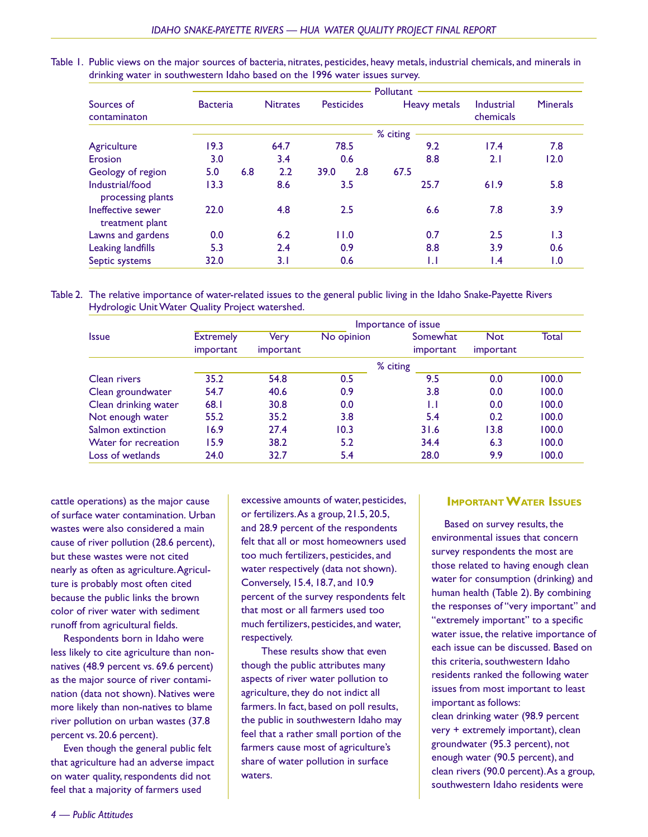|                                      | Pollutant       |     |                 |                   |     |              |                         |                 |  |
|--------------------------------------|-----------------|-----|-----------------|-------------------|-----|--------------|-------------------------|-----------------|--|
| Sources of<br>contaminaton           | <b>Bacteria</b> |     | <b>Nitrates</b> | <b>Pesticides</b> |     | Heavy metals | Industrial<br>chemicals | <b>Minerals</b> |  |
|                                      | % citing        |     |                 |                   |     |              |                         |                 |  |
| Agriculture                          | 19.3            |     | 64.7            | 78.5              |     | 9.2          | 17.4                    | 7.8             |  |
| Erosion                              | 3.0             |     | 3.4             | 0.6               |     | 8.8          | 2.1                     | 12.0            |  |
| Geology of region                    | 5.0             | 6.8 | 2.2             | 39.0              | 2.8 | 67.5         |                         |                 |  |
| Industrial/food<br>processing plants | 13.3            |     | 8.6             | 3.5               |     | 25.7         | 61.9                    | 5.8             |  |
| Ineffective sewer<br>treatment plant | 22.0            |     | 4.8             | 2.5               |     | 6.6          | 7.8                     | 3.9             |  |
| Lawns and gardens                    | 0.0             |     | 6.2             | 11.0              |     | 0.7          | 2.5                     | 1.3             |  |
| Leaking landfills                    | 5.3             |     | 2.4             | 0.9               |     | 8.8          | 3.9                     | 0.6             |  |
| Septic systems                       | 32.0            |     | 3.1             | 0.6               |     | IJ           | l.4                     | 1.0             |  |

Table 1. Public views on the major sources of bacteria, nitrates, pesticides, heavy metals, industrial chemicals, and minerals in drinking water in southwestern Idaho based on the 1996 water issues survey.

Table 2. The relative importance of water-related issues to the general public living in the Idaho Snake-Payette Rivers Hydrologic Unit Water Quality Project watershed.

| <b>Issue</b>         | Importance of issue |           |            |                  |                                |       |  |  |
|----------------------|---------------------|-----------|------------|------------------|--------------------------------|-------|--|--|
|                      | <b>Extremely</b>    | Very      | No opinion | Somewhat         | <b>Not</b><br><i>important</i> | Total |  |  |
|                      | important           | important |            | <i>important</i> |                                |       |  |  |
|                      | % citing            |           |            |                  |                                |       |  |  |
| Clean rivers         | 35.2                | 54.8      | 0.5        | 9.5              | 0.0                            | 100.0 |  |  |
| Clean groundwater    | 54.7                | 40.6      | 0.9        | 3.8              | 0.0                            | 100.0 |  |  |
| Clean drinking water | 68.1                | 30.8      | 0.0        | IJ               | 0.0                            | 100.0 |  |  |
| Not enough water     | 55.2                | 35.2      | 3.8        | 5.4              | 0.2                            | 100.0 |  |  |
| Salmon extinction    | 16.9                | 27.4      | 10.3       | 31.6             | 13.8                           | 100.0 |  |  |
| Water for recreation | 15.9                | 38.2      | 5.2        | 34.4             | 6.3                            | 100.0 |  |  |
| Loss of wetlands     | 24.0                | 32.7      | 5.4        | 28.0             | 9.9                            | 100.0 |  |  |

cattle operations) as the major cause of surface water contamination. Urban wastes were also considered a main cause of river pollution (28.6 percent), but these wastes were not cited nearly as often as agriculture. Agriculture is probably most often cited because the public links the brown color of river water with sediment runoff from agricultural fields.

Respondents born in Idaho were less likely to cite agriculture than nonnatives (48.9 percent vs. 69.6 percent) as the major source of river contamination (data not shown). Natives were more likely than non-natives to blame river pollution on urban wastes (37.8 percent vs. 20.6 percent).

Even though the general public felt that agriculture had an adverse impact on water quality, respondents did not feel that a majority of farmers used

excessive amounts of water, pesticides, or fertilizers. As a group, 21.5, 20.5, and 28.9 percent of the respondents felt that all or most homeowners used too much fertilizers, pesticides, and water respectively (data not shown). Conversely, 15.4, 18.7, and 10.9 percent of the survey respondents felt that most or all farmers used too much fertilizers, pesticides, and water, respectively.

 These results show that even though the public attributes many aspects of river water pollution to agriculture, they do not indict all farmers. In fact, based on poll results, the public in southwestern Idaho may feel that a rather small portion of the farmers cause most of agriculture's share of water pollution in surface waters.

#### **IMPORTANT WATER ISSUES**

Based on survey results, the environmental issues that concern survey respondents the most are those related to having enough clean water for consumption (drinking) and human health (Table 2). By combining the responses of "very important" and "extremely important" to a specific water issue, the relative importance of each issue can be discussed. Based on this criteria, southwestern Idaho residents ranked the following water issues from most important to least important as follows:

clean drinking water (98.9 percent very + extremely important), clean groundwater (95.3 percent), not enough water (90.5 percent), and clean rivers (90.0 percent). As a group, southwestern Idaho residents were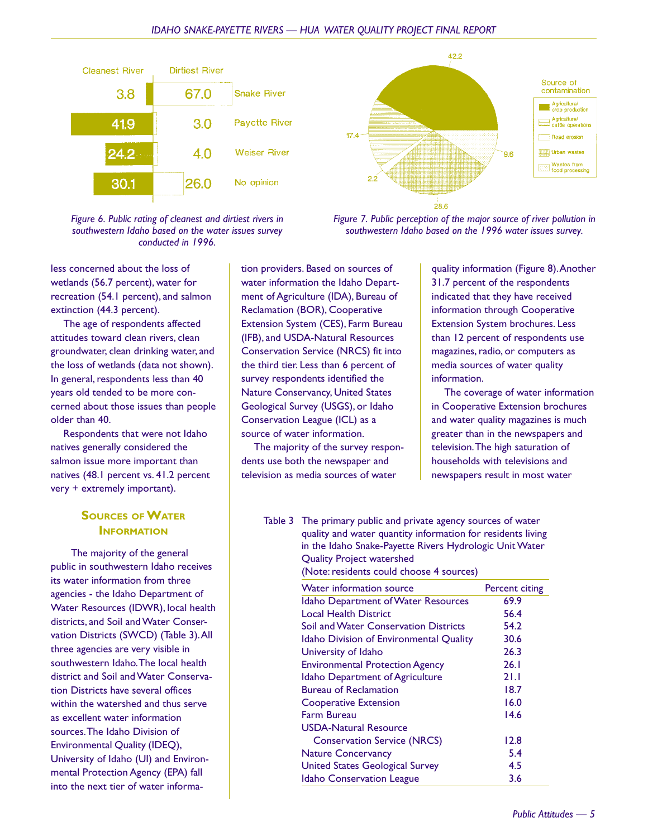



*Figure 6. Public rating of cleanest and dirtiest rivers in southwestern Idaho based on the water issues survey conducted in 1996.*

less concerned about the loss of wetlands (56.7 percent), water for recreation (54.1 percent), and salmon extinction (44.3 percent).

The age of respondents affected attitudes toward clean rivers, clean groundwater, clean drinking water, and the loss of wetlands (data not shown). In general, respondents less than 40 years old tended to be more concerned about those issues than people older than 40.

Respondents that were not Idaho natives generally considered the salmon issue more important than natives (48.1 percent vs. 41.2 percent very + extremely important).

### **SOURCES OF WATER INFORMATION**

 The majority of the general public in southwestern Idaho receives its water information from three agencies - the Idaho Department of Water Resources (IDWR), local health districts, and Soil and Water Conservation Districts (SWCD) (Table 3). All three agencies are very visible in southwestern Idaho. The local health district and Soil and Water Conservation Districts have several offices within the watershed and thus serve as excellent water information sources. The Idaho Division of Environmental Quality (IDEQ), University of Idaho (UI) and Environmental Protection Agency (EPA) fall into the next tier of water information providers. Based on sources of water information the Idaho Department of Agriculture (IDA), Bureau of Reclamation (BOR), Cooperative Extension System (CES), Farm Bureau (IFB), and USDA-Natural Resources Conservation Service (NRCS) fit into the third tier. Less than 6 percent of survey respondents identified the Nature Conservancy, United States Geological Survey (USGS), or Idaho Conservation League (ICL) as a source of water information.

The majority of the survey respondents use both the newspaper and television as media sources of water

*Figure 7. Public perception of the major source of river pollution in southwestern Idaho based on the 1996 water issues survey.*

> quality information (Figure 8). Another 31.7 percent of the respondents indicated that they have received information through Cooperative Extension System brochures. Less than 12 percent of respondents use magazines, radio, or computers as media sources of water quality information.

> The coverage of water information in Cooperative Extension brochures and water quality magazines is much greater than in the newspapers and television. The high saturation of households with televisions and newspapers result in most water

Table 3 The primary public and private agency sources of water quality and water quantity information for residents living in the Idaho Snake-Payette Rivers Hydrologic Unit Water Quality Project watershed

(Note: residents could choose 4 sources)

| <b>Water information source</b>                | Percent citing |  |  |
|------------------------------------------------|----------------|--|--|
| Idaho Department of Water Resources            | 69.9           |  |  |
| Local Health District                          | 56.4           |  |  |
| <b>Soil and Water Conservation Districts</b>   | 54.2           |  |  |
| <b>Idaho Division of Environmental Quality</b> | 30.6           |  |  |
| University of Idaho                            | 26.3           |  |  |
| <b>Environmental Protection Agency</b>         | 26.1           |  |  |
| Idaho Department of Agriculture                | 21.1           |  |  |
| <b>Bureau of Reclamation</b>                   | 18.7           |  |  |
| <b>Cooperative Extension</b>                   | 16.0           |  |  |
| <b>Farm Bureau</b>                             | 14.6           |  |  |
| <b>USDA-Natural Resource</b>                   |                |  |  |
| <b>Conservation Service (NRCS)</b>             | 12.8           |  |  |
| <b>Nature Concervancy</b>                      | 5.4            |  |  |
| <b>United States Geological Survey</b>         | 4.5            |  |  |
| <b>Idaho Conservation League</b>               | 3.6            |  |  |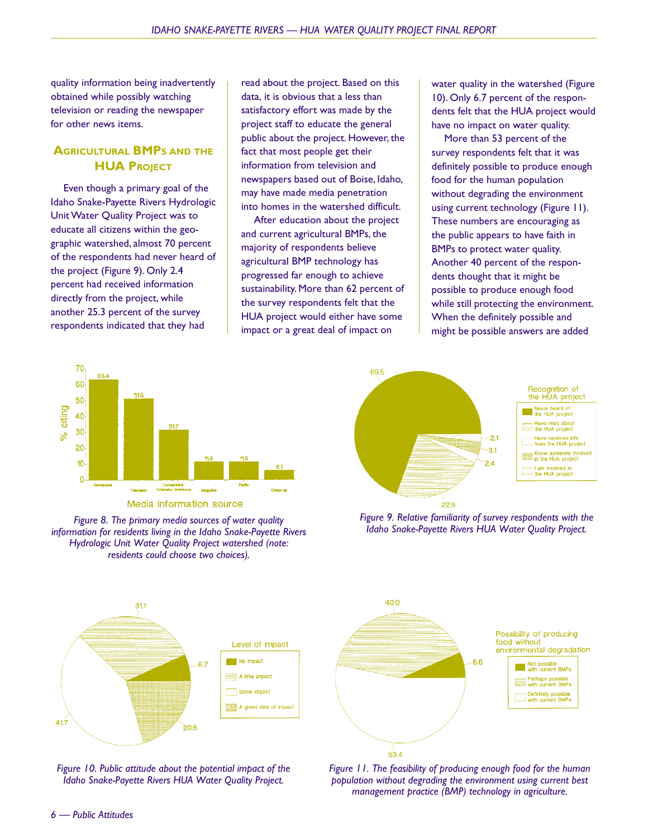quality information being inadvertently obtained while possibly watching television or reading the newspaper for other news items.

## **AGRICULTURAL BMPS AND THE HUA PROJECT**

Even though a primary goal of the Idaho Snake-Payette Rivers Hydrologic Unit Water Quality Project was to educate all citizens within the geographic watershed, almost 70 percent of the respondents had never heard of the project (Figure 9). Only 2.4 percent had received information directly from the project, while another 25.3 percent of the survey respondents indicated that they had

read about the project. Based on this data, it is obvious that a less than satisfactory effort was made by the project staff to educate the general public about the project. However, the fact that most people get their information from television and newspapers based out of Boise, Idaho, may have made media penetration into homes in the watershed difficult.

After education about the project and current agricultural BMPs, the majority of respondents believe agricultural BMP technology has progressed far enough to achieve sustainability. More than 62 percent of the survey respondents felt that the HUA project would either have some impact or a great deal of impact on

water quality in the watershed (Figure 10). Only 6.7 percent of the respondents felt that the HUA project would have no impact on water quality.

More than 53 percent of the survey respondents felt that it was definitely possible to produce enough food for the human population without degrading the environment using current technology (Figure 11). These numbers are encouraging as the public appears to have faith in BMPs to protect water quality. Another 40 percent of the respondents thought that it might be possible to produce enough food while still protecting the environment. When the definitely possible and might be possible answers are added



Media information source

*Idaho Snake-Payette Rivers HUA Water Quality Project. Figure 8. The primary media sources of water quality information for residents living in the Idaho Snake-Payette Rivers Hydrologic Unit Water Quality Project watershed (note: residents could choose two choices).*



*Figure 9. Relative familiarity of survey respondents with the*



*Figure 10. Public attitude about the potential impact of the Idaho Snake-Payette Rivers HUA Water Quality Project.*



*Figure 11. The feasibility of producing enough food for the human population without degrading the environment using current best management practice (BMP) technology in agriculture.*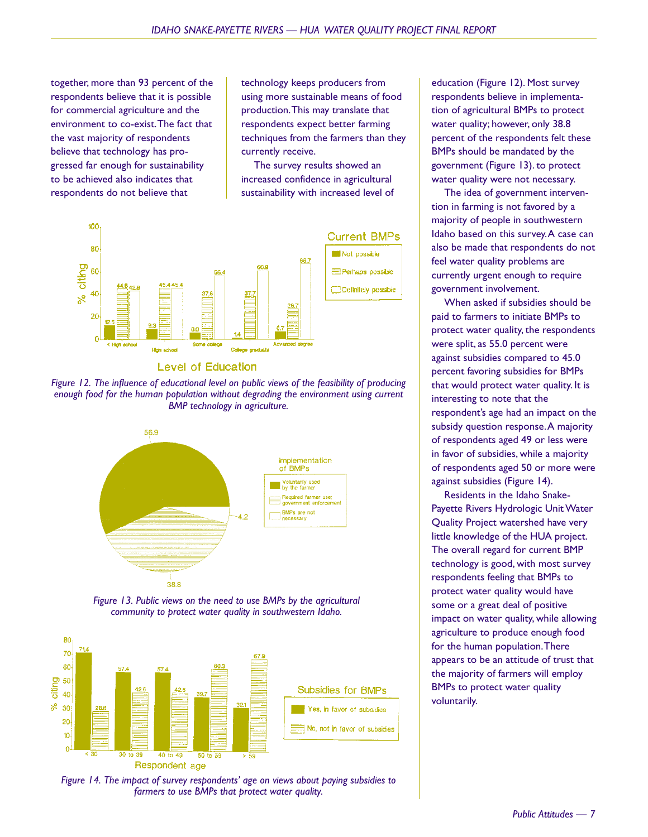together, more than 93 percent of the respondents believe that it is possible for commercial agriculture and the environment to co-exist. The fact that the vast majority of respondents believe that technology has progressed far enough for sustainability to be achieved also indicates that respondents do not believe that

technology keeps producers from using more sustainable means of food production. This may translate that respondents expect better farming techniques from the farmers than they currently receive.

The survey results showed an increased confidence in agricultural sustainability with increased level of









*Figure 13. Public views on the need to use BMPs by the agricultural community to protect water quality in southwestern Idaho.*



*Figure 14. The impact of survey respondents' age on views about paying subsidies to farmers to use BMPs that protect water quality.*

education (Figure 12). Most survey respondents believe in implementation of agricultural BMPs to protect water quality; however, only 38.8 percent of the respondents felt these BMPs should be mandated by the government (Figure 13). to protect water quality were not necessary.

The idea of government intervention in farming is not favored by a majority of people in southwestern Idaho based on this survey. A case can also be made that respondents do not feel water quality problems are currently urgent enough to require government involvement.

When asked if subsidies should be paid to farmers to initiate BMPs to protect water quality, the respondents were split, as 55.0 percent were against subsidies compared to 45.0 percent favoring subsidies for BMPs that would protect water quality. It is interesting to note that the respondent's age had an impact on the subsidy question response. A majority of respondents aged 49 or less were in favor of subsidies, while a majority of respondents aged 50 or more were against subsidies (Figure 14).

Residents in the Idaho Snake-Payette Rivers Hydrologic Unit Water Quality Project watershed have very little knowledge of the HUA project. The overall regard for current BMP technology is good, with most survey respondents feeling that BMPs to protect water quality would have some or a great deal of positive impact on water quality, while allowing agriculture to produce enough food for the human population. There appears to be an attitude of trust that the majority of farmers will employ BMPs to protect water quality voluntarily.